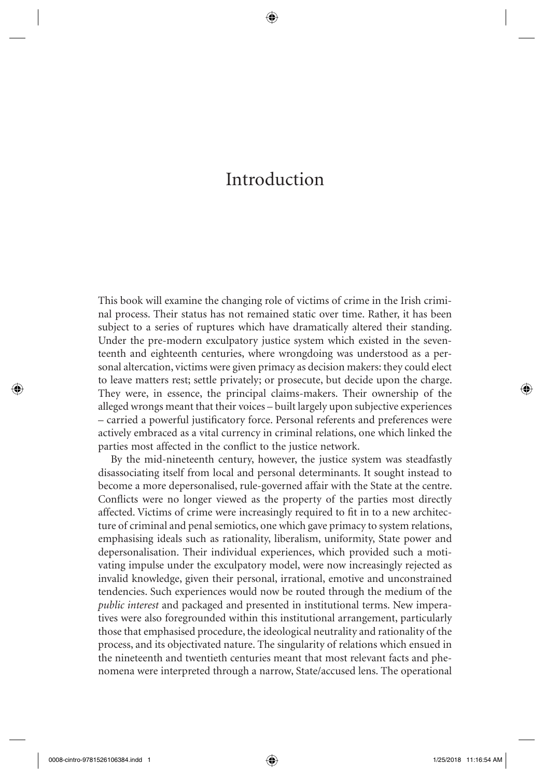# Introduction

⊕

 This book will examine the changing role of victims of crime in the Irish criminal process. Their status has not remained static over time. Rather, it has been subject to a series of ruptures which have dramatically altered their standing. Under the pre-modern exculpatory justice system which existed in the seventeenth and eighteenth centuries, where wrongdoing was understood as a personal altercation, victims were given primacy as decision makers: they could elect to leave matters rest; settle privately; or prosecute, but decide upon the charge. They were, in essence, the principal claims-makers. Their ownership of the alleged wrongs meant that their voices – built largely upon subjective experiences – carried a powerful justificatory force. Personal referents and preferences were actively embraced as a vital currency in criminal relations, one which linked the parties most affected in the conflict to the justice network.

 By the mid-nineteenth century, however, the justice system was steadfastly disassociating itself from local and personal determinants. It sought instead to become a more depersonalised, rule-governed affair with the State at the centre. Conflicts were no longer viewed as the property of the parties most directly affected. Victims of crime were increasingly required to fit in to a new architecture of criminal and penal semiotics, one which gave primacy to system relations, emphasising ideals such as rationality, liberalism, uniformity, State power and depersonalisation. Their individual experiences, which provided such a motivating impulse under the exculpatory model, were now increasingly rejected as invalid knowledge, given their personal, irrational, emotive and unconstrained tendencies. Such experiences would now be routed through the medium of the *public interest* and packaged and presented in institutional terms. New imperatives were also foregrounded within this institutional arrangement, particularly those that emphasised procedure, the ideological neutrality and rationality of the process, and its objectivated nature. The singularity of relations which ensued in the nineteenth and twentieth centuries meant that most relevant facts and phenomena were interpreted through a narrow, State/accused lens. The operational

0008-cintro-9781526106384.indd 1 1 008-cintro-9781526106384.indd 1 25/2018 11:16:54 AM

⊕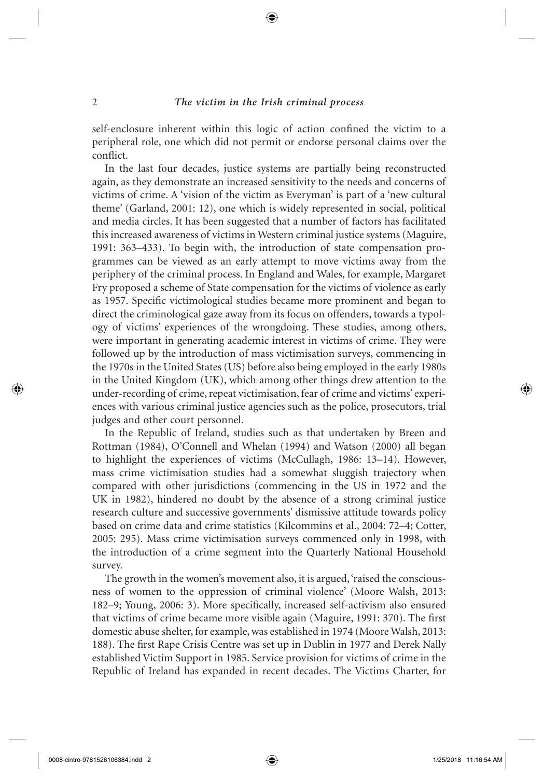## 2 *The victim in the Irish criminal process*

self-enclosure inherent within this logic of action confined the victim to a peripheral role, one which did not permit or endorse personal claims over the conflict.

 In the last four decades, justice systems are partially being reconstructed again, as they demonstrate an increased sensitivity to the needs and concerns of victims of crime. A 'vision of the victim as Everyman' is part of a 'new cultural theme' (Garland, 2001: 12), one which is widely represented in social, political and media circles. It has been suggested that a number of factors has facilitated this increased awareness of victims in Western criminal justice systems ( Maguire, 1991: 363–433). To begin with, the introduction of state compensation programmes can be viewed as an early attempt to move victims away from the periphery of the criminal process. In England and Wales, for example, Margaret Fry proposed a scheme of State compensation for the victims of violence as early as 1957. Specific victimological studies became more prominent and began to direct the criminological gaze away from its focus on offenders, towards a typology of victims' experiences of the wrongdoing. These studies, among others, were important in generating academic interest in victims of crime. They were followed up by the introduction of mass victimisation surveys, commencing in the 1970s in the United States (US) before also being employed in the early 1980s in the United Kingdom (UK), which among other things drew attention to the under-recording of crime, repeat victimisation, fear of crime and victims' experiences with various criminal justice agencies such as the police, prosecutors, trial judges and other court personnel.

 In the Republic of Ireland, studies such as that undertaken by Breen and Rottman (1984), O'Connell and Whelan (1994) and Watson (2000) all began to highlight the experiences of victims (McCullagh, 1986: 13–14). However, mass crime victimisation studies had a somewhat sluggish trajectory when compared with other jurisdictions (commencing in the US in 1972 and the UK in 1982), hindered no doubt by the absence of a strong criminal justice research culture and successive governments' dismissive attitude towards policy based on crime data and crime statistics (Kilcommins et al., 2004: 72–4; Cotter, 2005: 295). Mass crime victimisation surveys commenced only in 1998, with the introduction of a crime segment into the Quarterly National Household survey.

The growth in the women's movement also, it is argued, 'raised the consciousness of women to the oppression of criminal violence' (Moore Walsh, 2013: 182–9; Young, 2006: 3). More specifically, increased self-activism also ensured that victims of crime became more visible again (Maguire, 1991: 370). The first domestic abuse shelter, for example, was established in 1974 ( Moore Walsh, 2013 : 188). The first Rape Crisis Centre was set up in Dublin in 1977 and Derek Nally established Victim Support in 1985. Service provision for victims of crime in the Republic of Ireland has expanded in recent decades. The Victims Charter, for

↔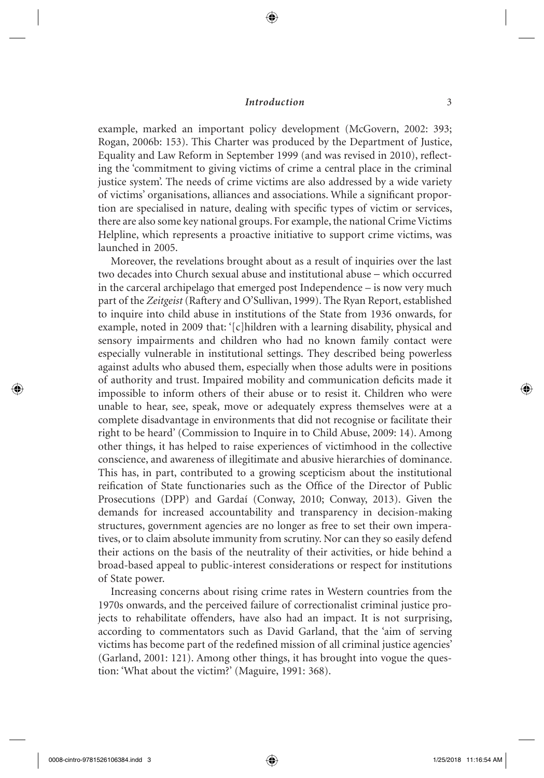## *Introduction* 3

⊕

example, marked an important policy development (McGovern, 2002: 393; Rogan, 2006b: 153). This Charter was produced by the Department of Justice, Equality and Law Reform in September 1999 (and was revised in 2010), reflecting the 'commitment to giving victims of crime a central place in the criminal justice system'. The needs of crime victims are also addressed by a wide variety of victims' organisations, alliances and associations. While a significant proportion are specialised in nature, dealing with specific types of victim or services, there are also some key national groups. For example, the national Crime Victims Helpline, which represents a proactive initiative to support crime victims, was launched in 2005.

 Moreover, the revelations brought about as a result of inquiries over the last two decades into Church sexual abuse and institutional abuse − which occurred in the carceral archipelago that emerged post Independence – is now very much part of the *Zeitgeist* ( Raftery and O'Sullivan, 1999 ). The Ryan Report, established to inquire into child abuse in institutions of the State from 1936 onwards, for example, noted in 2009 that: '[c]hildren with a learning disability, physical and sensory impairments and children who had no known family contact were especially vulnerable in institutional settings. They described being powerless against adults who abused them, especially when those adults were in positions of authority and trust. Impaired mobility and communication deficits made it impossible to inform others of their abuse or to resist it. Children who were unable to hear, see, speak, move or adequately express themselves were at a complete disadvantage in environments that did not recognise or facilitate their right to be heard' (Commission to Inquire in to Child Abuse, 2009: 14). Among other things, it has helped to raise experiences of victimhood in the collective conscience, and awareness of illegitimate and abusive hierarchies of dominance. This has, in part, contributed to a growing scepticism about the institutional reification of State functionaries such as the Office of the Director of Public Prosecutions (DPP) and Gardaí (Conway, 2010; Conway, 2013). Given the demands for increased accountability and transparency in decision-making structures, government agencies are no longer as free to set their own imperatives, or to claim absolute immunity from scrutiny. Nor can they so easily defend their actions on the basis of the neutrality of their activities, or hide behind a broad-based appeal to public-interest considerations or respect for institutions of State power.

 Increasing concerns about rising crime rates in Western countries from the 1970s onwards, and the perceived failure of correctionalist criminal justice projects to rehabilitate offenders, have also had an impact. It is not surprising, according to commentators such as David Garland, that the 'aim of serving victims has become part of the redefined mission of all criminal justice agencies' (Garland, 2001: 121). Among other things, it has brought into vogue the question: 'What about the victim?' (Maguire, 1991: 368).

↔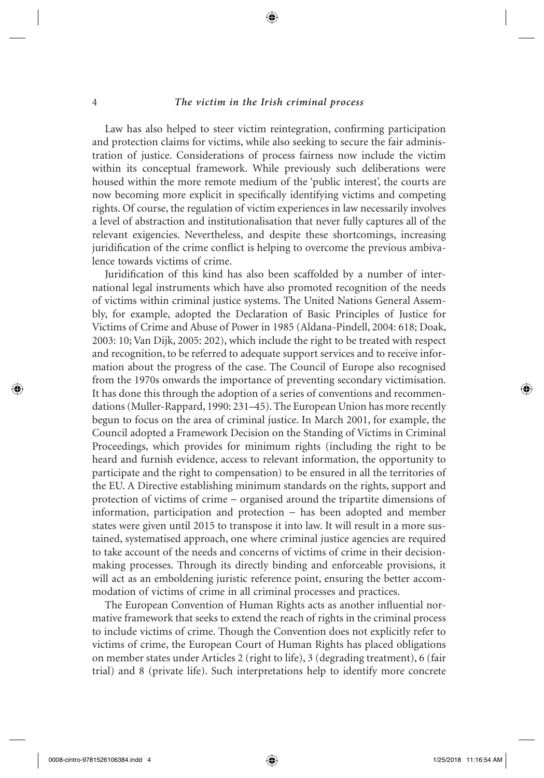#### 4 *The victim in the Irish criminal process*

Law has also helped to steer victim reintegration, confirming participation and protection claims for victims, while also seeking to secure the fair administration of justice. Considerations of process fairness now include the victim within its conceptual framework. While previously such deliberations were housed within the more remote medium of the 'public interest', the courts are now becoming more explicit in specifically identifying victims and competing rights. Of course, the regulation of victim experiences in law necessarily involves a level of abstraction and institutionalisation that never fully captures all of the relevant exigencies. Nevertheless, and despite these shortcomings, increasing juridification of the crime conflict is helping to overcome the previous ambivalence towards victims of crime.

Juridification of this kind has also been scaffolded by a number of international legal instruments which have also promoted recognition of the needs of victims within criminal justice systems. The United Nations General Assembly, for example, adopted the Declaration of Basic Principles of Justice for Victims of Crime and Abuse of Power in 1985 (Aldana-Pindell, 2004: 618; Doak, 2003: 10; Van Dijk, 2005: 202), which include the right to be treated with respect and recognition, to be referred to adequate support services and to receive information about the progress of the case. The Council of Europe also recognised from the 1970s onwards the importance of preventing secondary victimisation. It has done this through the adoption of a series of conventions and recommendations (Muller-Rappard, 1990: 231–45). The European Union has more recently begun to focus on the area of criminal justice. In March 2001, for example, the Council adopted a Framework Decision on the Standing of Victims in Criminal Proceedings, which provides for minimum rights (including the right to be heard and furnish evidence, access to relevant information, the opportunity to participate and the right to compensation) to be ensured in all the territories of the EU. A Directive establishing minimum standards on the rights, support and protection of victims of crime − organised around the tripartite dimensions of information, participation and protection − has been adopted and member states were given until 2015 to transpose it into law. It will result in a more sustained, systematised approach, one where criminal justice agencies are required to take account of the needs and concerns of victims of crime in their decisionmaking processes. Through its directly binding and enforceable provisions, it will act as an emboldening juristic reference point, ensuring the better accommodation of victims of crime in all criminal processes and practices.

The European Convention of Human Rights acts as another influential normative framework that seeks to extend the reach of rights in the criminal process to include victims of crime. Though the Convention does not explicitly refer to victims of crime, the European Court of Human Rights has placed obligations on member states under Articles 2 (right to life), 3 (degrading treatment), 6 (fair trial) and 8 (private life). Such interpretations help to identify more concrete

↔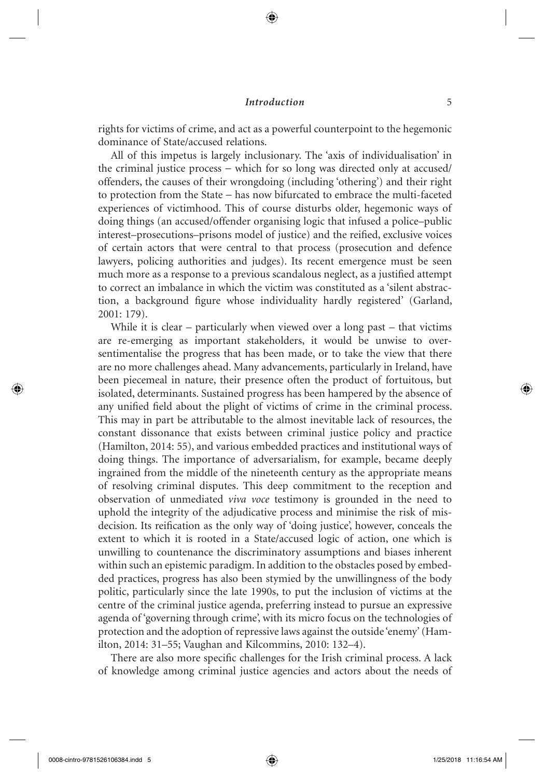### *<u>Introduction</u>* 5

rights for victims of crime, and act as a powerful counterpoint to the hegemonic dominance of State/accused relations.

 All of this impetus is largely inclusionary. The 'axis of individualisation' in the criminal justice process − which for so long was directed only at accused/ offenders, the causes of their wrongdoing (including 'othering') and their right to protection from the State − has now bifurcated to embrace the multi-faceted experiences of victimhood. This of course disturbs older, hegemonic ways of doing things (an accused/offender organising logic that infused a police–public interest–prosecutions–prisons model of justice) and the reified, exclusive voices of certain actors that were central to that process (prosecution and defence lawyers, policing authorities and judges). Its recent emergence must be seen much more as a response to a previous scandalous neglect, as a justified attempt to correct an imbalance in which the victim was constituted as a 'silent abstraction, a background figure whose individuality hardly registered' (Garland, 2001: 179).

While it is clear – particularly when viewed over a long past – that victims are re-emerging as important stakeholders, it would be unwise to oversentimentalise the progress that has been made, or to take the view that there are no more challenges ahead. Many advancements, particularly in Ireland, have been piecemeal in nature, their presence often the product of fortuitous, but isolated, determinants. Sustained progress has been hampered by the absence of any unified field about the plight of victims of crime in the criminal process. This may in part be attributable to the almost inevitable lack of resources, the constant dissonance that exists between criminal justice policy and practice (Hamilton, 2014: 55), and various embedded practices and institutional ways of doing things. The importance of adversarialism, for example, became deeply ingrained from the middle of the nineteenth century as the appropriate means of resolving criminal disputes. This deep commitment to the reception and observation of unmediated *viva voce* testimony is grounded in the need to uphold the integrity of the adjudicative process and minimise the risk of misdecision. Its reification as the only way of 'doing justice', however, conceals the extent to which it is rooted in a State/accused logic of action, one which is unwilling to countenance the discriminatory assumptions and biases inherent within such an epistemic paradigm. In addition to the obstacles posed by embedded practices, progress has also been stymied by the unwillingness of the body politic, particularly since the late 1990s, to put the inclusion of victims at the centre of the criminal justice agenda, preferring instead to pursue an expressive agenda of 'governing through crime', with its micro focus on the technologies of protection and the adoption of repressive laws against the outside 'enemy' ( Hamilton, 2014: 31–55; Vaughan and Kilcommins, 2010: 132–4).

There are also more specific challenges for the Irish criminal process. A lack of knowledge among criminal justice agencies and actors about the needs of

↔